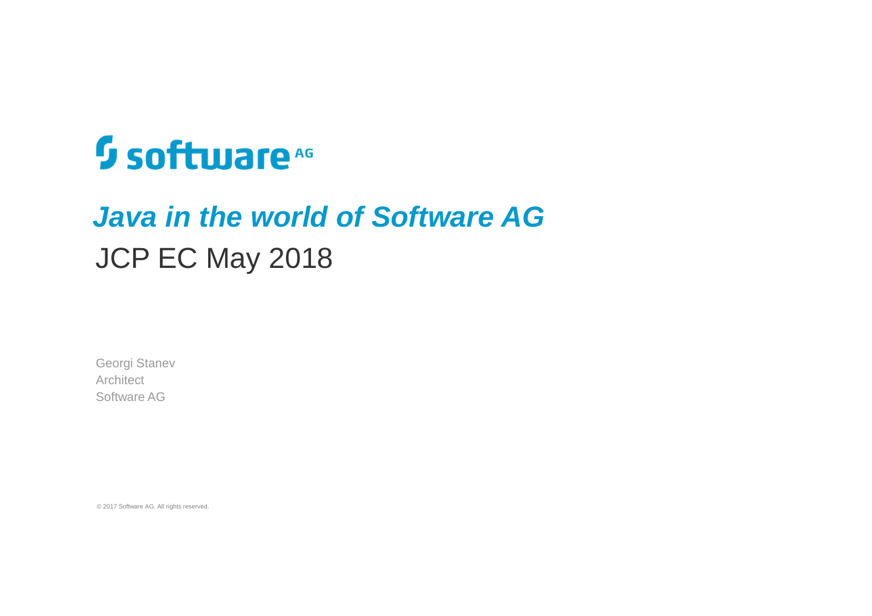# **Software**<sup>46</sup>

## **Java in the world of Software AG** JCP EC May 2018

Georgi StanevArchitect Software AG

© 2017 Software AG. All rights reserved.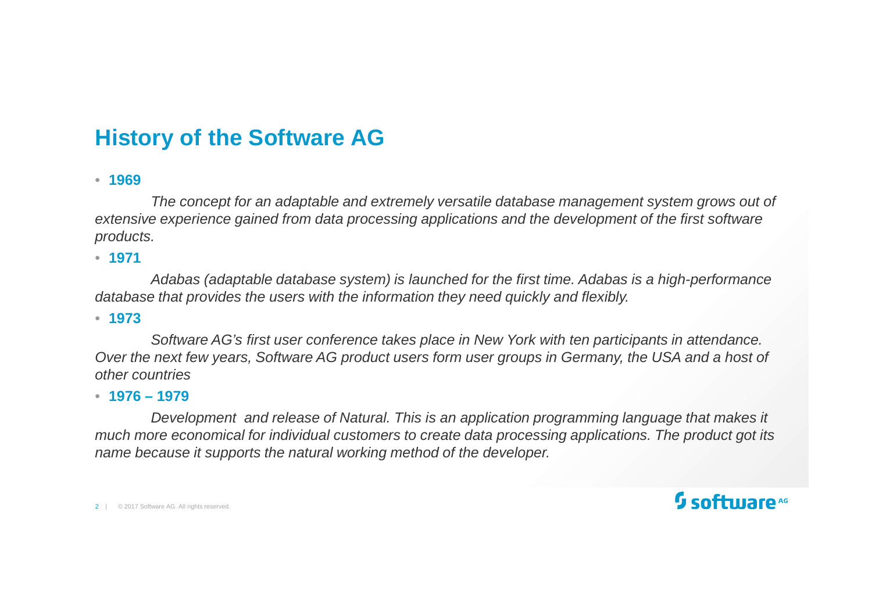### **History of the Software AG**

• **<sup>1969</sup>**

The concept for an adaptable and extremely versatile database management system grows out of extensive experience gained from data processing applications and the development of the first software products.

• **<sup>1971</sup>**

Adabas (adaptable database system) is launched for the first time. Adabas is a high-performance database that provides the users with the information they need quickly and flexibly.

• **<sup>1973</sup>**

Software AG's first user conference takes place in New York with ten participants in attendance. Over the next few years, Software AG product users form user groups in Germany, the USA and a host of other countries

#### • **1976 – <sup>1979</sup>**

 Development and release of Natural. This is an application programming language that makes it much more economical for individual customers to create data processing applications. The product got its name because it supports the natural working method of the developer.

2 | © 2017 Software AG. All rights reserved.

### $\mathfrak g$  softmare  $\mathfrak g$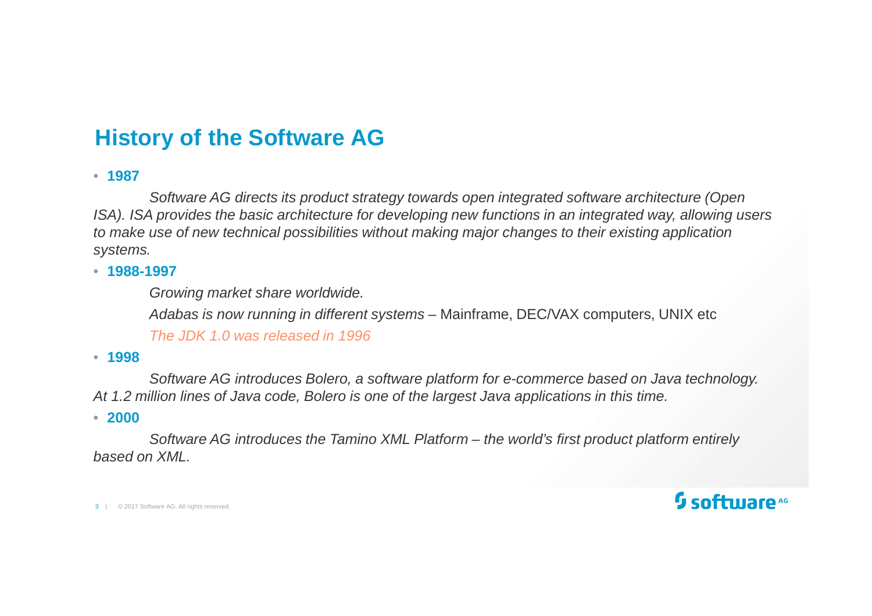### **History of the Software AG**

• **<sup>1987</sup>**

Software AG directs its product strategy towards open integrated software architecture (Open ISA). ISA provides the basic architecture for developing new functions in an integrated way, allowing users to make use of new technical possibilities without making major changes to their existing application systems.

#### • **1988-1997**

Growing market share worldwide.

Adabas is now running in different systems – Mainframe, DEC/VAX computers, UNIX etc

The JDK 1.0 was released in 1996

#### • **<sup>1998</sup>**

Software AG introduces Bolero, a software platform for e-commerce based on Java technology. At 1.2 million lines of Java code, Bolero is one of the largest Java applications in this time.

#### • **<sup>2000</sup>**

Software AG introduces the Tamino XML Platform – the world's first product platform entirely based on XML.

3 | © 2017 Software AG. All rights reserved.

### $\mathfrak g$  software  $\mathfrak e$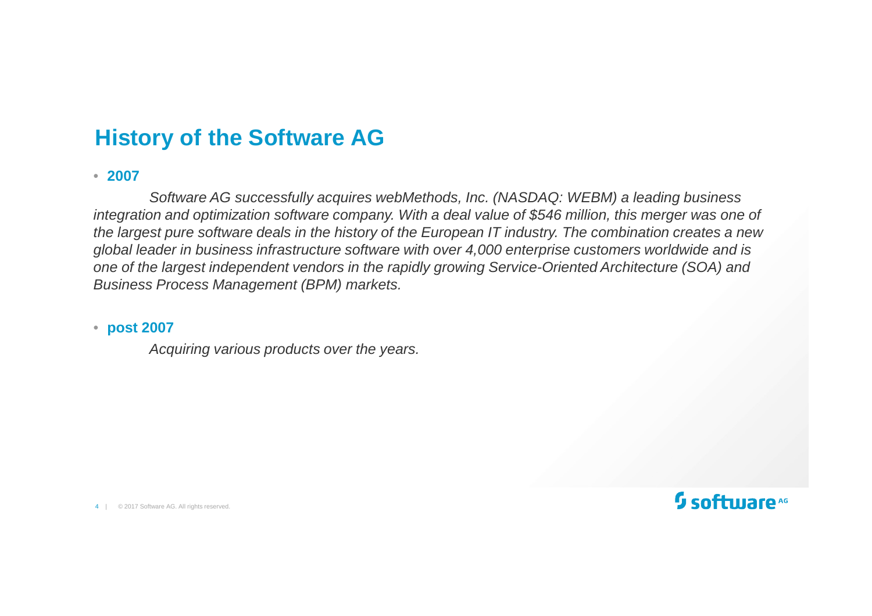### **History of the Software AG**

#### • **<sup>2007</sup>**

Software AG successfully acquires webMethods, Inc. (NASDAQ: WEBM) a leading business integration and optimization software company. With a deal value of \$546 million, this merger was one of the largest pure software deals in the history of the European IT industry. The combination creates a new global leader in business infrastructure software with over 4,000 enterprise customers worldwide and is one of the largest independent vendors in the rapidly growing Service-Oriented Architecture (SOA) and Business Process Management (BPM) markets.

#### • **post 2007**

Acquiring various products over the years.

4 | © 2017 Software AG. All rights reserved.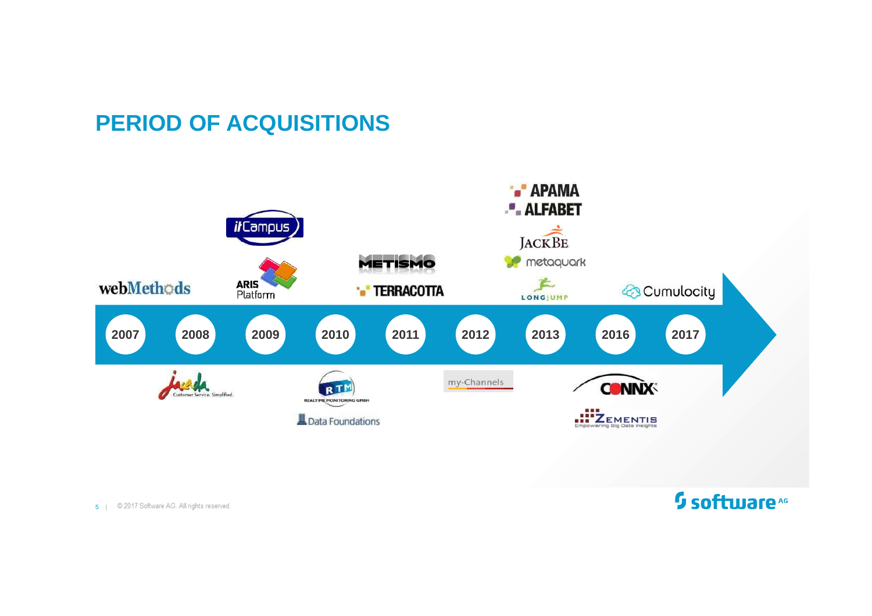### **PERIOD OF ACQUISITIONS**

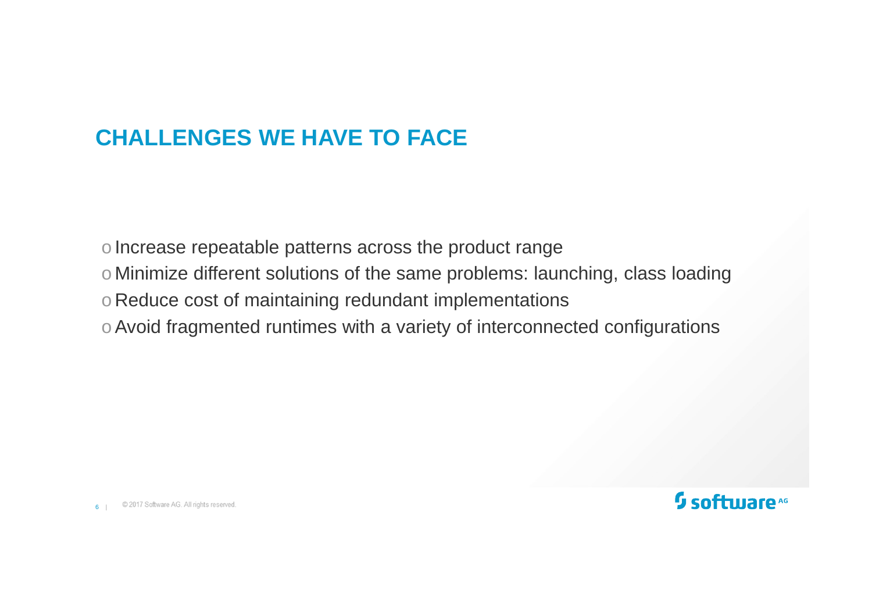### **CHALLENGES WE HAVE TO FACE**

o Increase repeatable patterns across the product range

- $\circ$  Minimize different solutions of the same problems: launching, class loading
- o Reduce cost of maintaining redundant implementations
- o Avoid fragmented runtimes with a variety of interconnected configurations

6 |

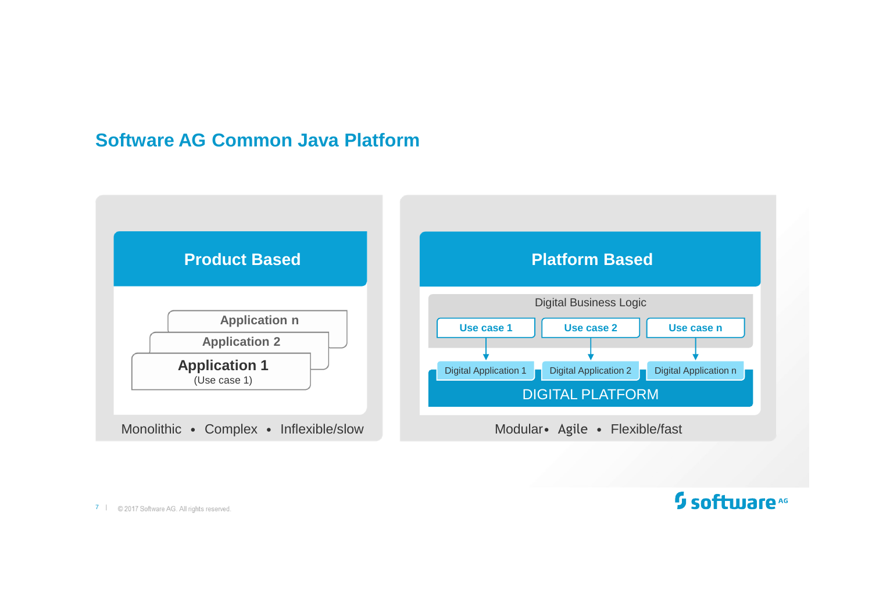#### **Software AG Common Java Platform**



 $7 \mid$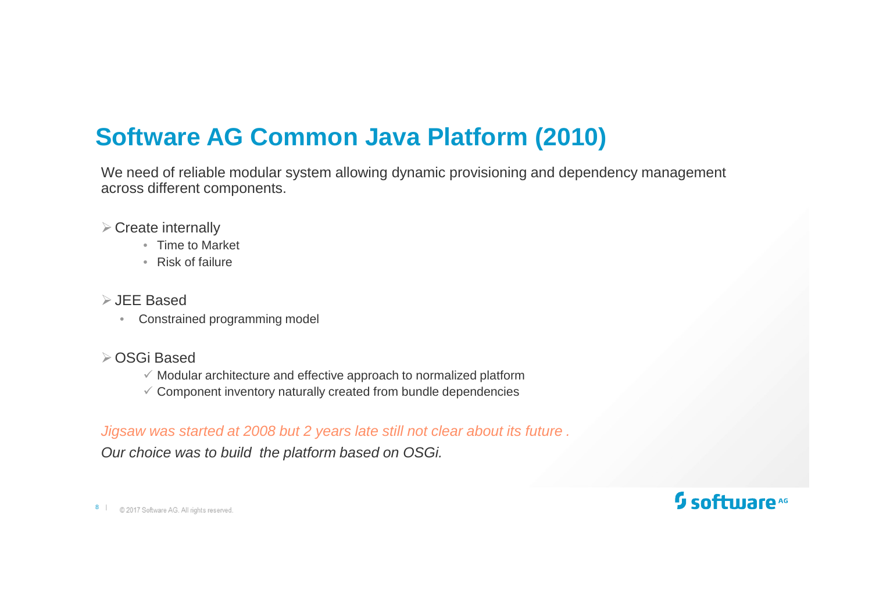### **Software AG Common Java Platform (2010)**

We need of reliable modular system allowing dynamic provisioning and dependency management across different components.

- $\triangleright$  Create internally
	- Time to Market
	- Risk of failure
- JEE Based
	- Constrained programming model
- OSGi Based
	- Modular architecture and effective approach to normalized platform
	- $\checkmark$  Component inventory naturally created from bundle dependencies

#### Jigsaw was started at 2008 but 2 years late still not clear about its future .

Our choice was to build the platform based on OSGi.

8 |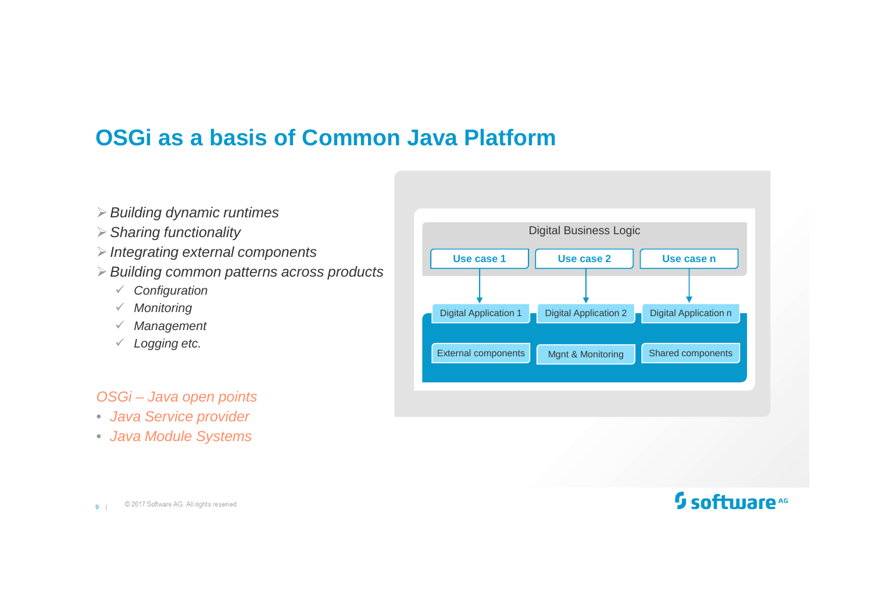### **OSGi as a basis of Common Java Platform**

- $\triangleright$  Building dynamic runtimes
- $\triangleright$  Sharing functionality
- $\triangleright$  Integrating external components
- $\triangleright$  Building common patterns across products
	- Configuration
	- Monitoring
	- Management
	- Logging etc.

#### OSGi – Java open points

- Java Service provider
- Java Module Systems

| Use case 1<br>Use case 2<br>Use case n<br><b>Digital Application 1</b><br><b>Digital Application 2</b><br>Digital Application n<br><b>External components</b><br>Shared components<br>Mgnt & Monitoring | <b>Digital Business Logic</b> |  |  |  |
|---------------------------------------------------------------------------------------------------------------------------------------------------------------------------------------------------------|-------------------------------|--|--|--|
|                                                                                                                                                                                                         |                               |  |  |  |
|                                                                                                                                                                                                         |                               |  |  |  |
|                                                                                                                                                                                                         |                               |  |  |  |
|                                                                                                                                                                                                         |                               |  |  |  |
|                                                                                                                                                                                                         |                               |  |  |  |
|                                                                                                                                                                                                         |                               |  |  |  |
|                                                                                                                                                                                                         |                               |  |  |  |
|                                                                                                                                                                                                         |                               |  |  |  |
|                                                                                                                                                                                                         |                               |  |  |  |

@ 2017 Software AG. All rights reserved. 9 |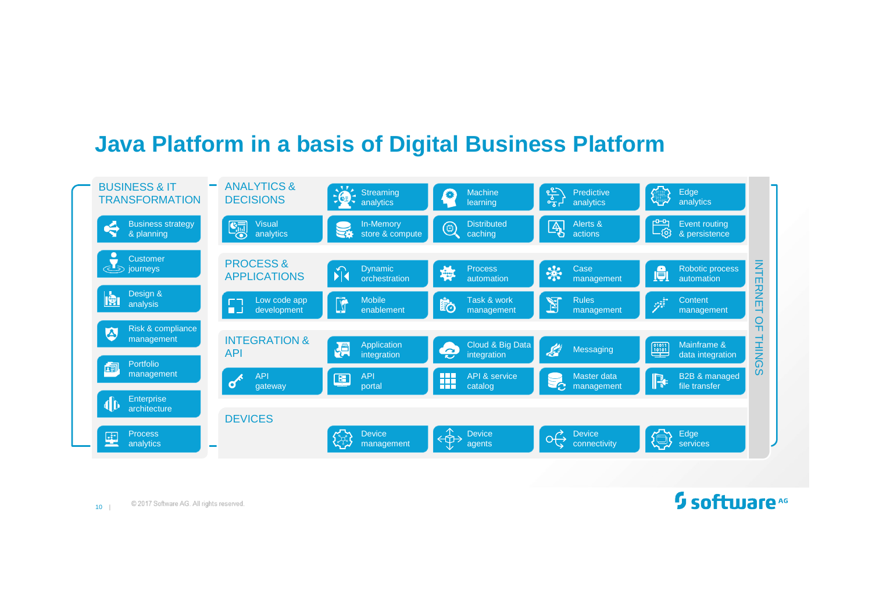### **Java Platform in a basis of Digital Business Platform**